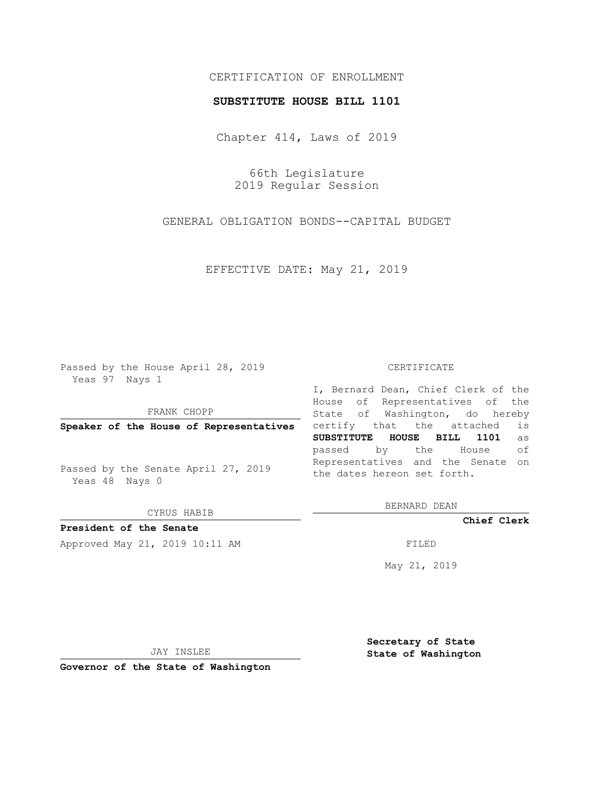## CERTIFICATION OF ENROLLMENT

### **SUBSTITUTE HOUSE BILL 1101**

Chapter 414, Laws of 2019

66th Legislature 2019 Regular Session

GENERAL OBLIGATION BONDS--CAPITAL BUDGET

EFFECTIVE DATE: May 21, 2019

Passed by the House April 28, 2019 Yeas 97 Nays 1

FRANK CHOPP

**Speaker of the House of Representatives**

Passed by the Senate April 27, 2019 Yeas 48 Nays 0

CYRUS HABIB

**President of the Senate**

Approved May 21, 2019 10:11 AM FILED

#### CERTIFICATE

I, Bernard Dean, Chief Clerk of the House of Representatives of the State of Washington, do hereby certify that the attached is **SUBSTITUTE HOUSE BILL 1101** as passed by the House of Representatives and the Senate on the dates hereon set forth.

BERNARD DEAN

**Chief Clerk**

May 21, 2019

JAY INSLEE

**Governor of the State of Washington**

**Secretary of State State of Washington**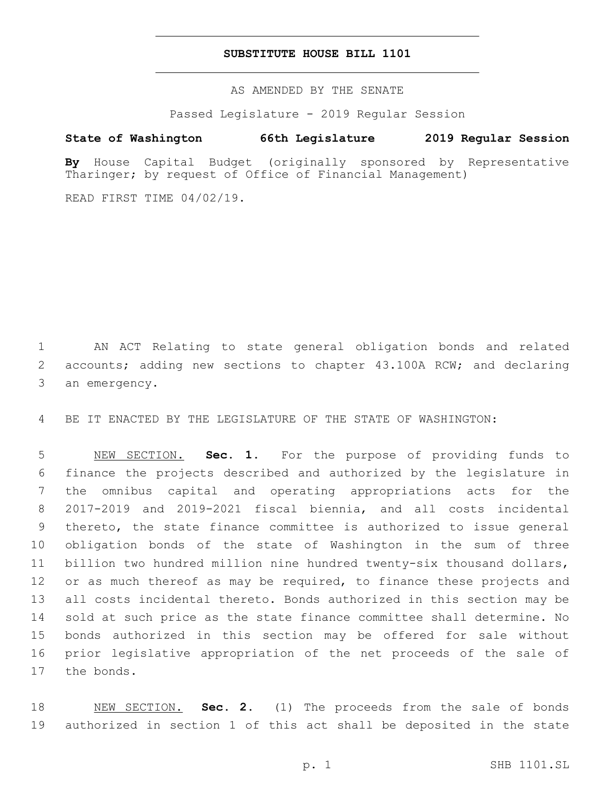## **SUBSTITUTE HOUSE BILL 1101**

AS AMENDED BY THE SENATE

Passed Legislature - 2019 Regular Session

# **State of Washington 66th Legislature 2019 Regular Session**

**By** House Capital Budget (originally sponsored by Representative Tharinger; by request of Office of Financial Management)

READ FIRST TIME 04/02/19.

 AN ACT Relating to state general obligation bonds and related accounts; adding new sections to chapter 43.100A RCW; and declaring 3 an emergency.

BE IT ENACTED BY THE LEGISLATURE OF THE STATE OF WASHINGTON:

 NEW SECTION. **Sec. 1.** For the purpose of providing funds to finance the projects described and authorized by the legislature in the omnibus capital and operating appropriations acts for the 2017-2019 and 2019-2021 fiscal biennia, and all costs incidental thereto, the state finance committee is authorized to issue general obligation bonds of the state of Washington in the sum of three billion two hundred million nine hundred twenty-six thousand dollars, 12 or as much thereof as may be required, to finance these projects and all costs incidental thereto. Bonds authorized in this section may be sold at such price as the state finance committee shall determine. No bonds authorized in this section may be offered for sale without prior legislative appropriation of the net proceeds of the sale of the bonds.

 NEW SECTION. **Sec. 2.** (1) The proceeds from the sale of bonds authorized in section 1 of this act shall be deposited in the state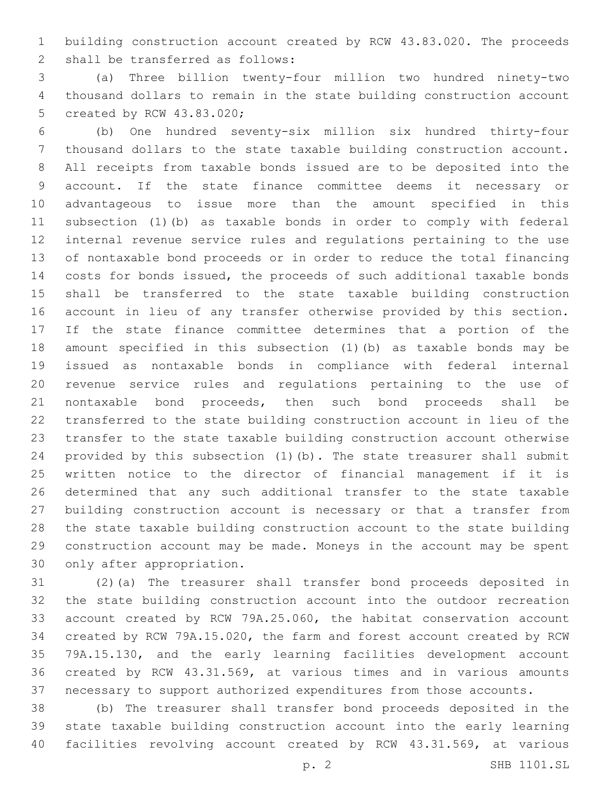building construction account created by RCW 43.83.020. The proceeds 2 shall be transferred as follows:

 (a) Three billion twenty-four million two hundred ninety-two thousand dollars to remain in the state building construction account 5 created by RCW 43.83.020;

 (b) One hundred seventy-six million six hundred thirty-four thousand dollars to the state taxable building construction account. All receipts from taxable bonds issued are to be deposited into the account. If the state finance committee deems it necessary or advantageous to issue more than the amount specified in this subsection (1)(b) as taxable bonds in order to comply with federal internal revenue service rules and regulations pertaining to the use of nontaxable bond proceeds or in order to reduce the total financing costs for bonds issued, the proceeds of such additional taxable bonds shall be transferred to the state taxable building construction account in lieu of any transfer otherwise provided by this section. If the state finance committee determines that a portion of the amount specified in this subsection (1)(b) as taxable bonds may be issued as nontaxable bonds in compliance with federal internal revenue service rules and regulations pertaining to the use of nontaxable bond proceeds, then such bond proceeds shall be transferred to the state building construction account in lieu of the transfer to the state taxable building construction account otherwise provided by this subsection (1)(b). The state treasurer shall submit written notice to the director of financial management if it is determined that any such additional transfer to the state taxable building construction account is necessary or that a transfer from the state taxable building construction account to the state building construction account may be made. Moneys in the account may be spent 30 only after appropriation.

 (2)(a) The treasurer shall transfer bond proceeds deposited in the state building construction account into the outdoor recreation account created by RCW 79A.25.060, the habitat conservation account created by RCW 79A.15.020, the farm and forest account created by RCW 79A.15.130, and the early learning facilities development account created by RCW 43.31.569, at various times and in various amounts necessary to support authorized expenditures from those accounts.

 (b) The treasurer shall transfer bond proceeds deposited in the state taxable building construction account into the early learning facilities revolving account created by RCW 43.31.569, at various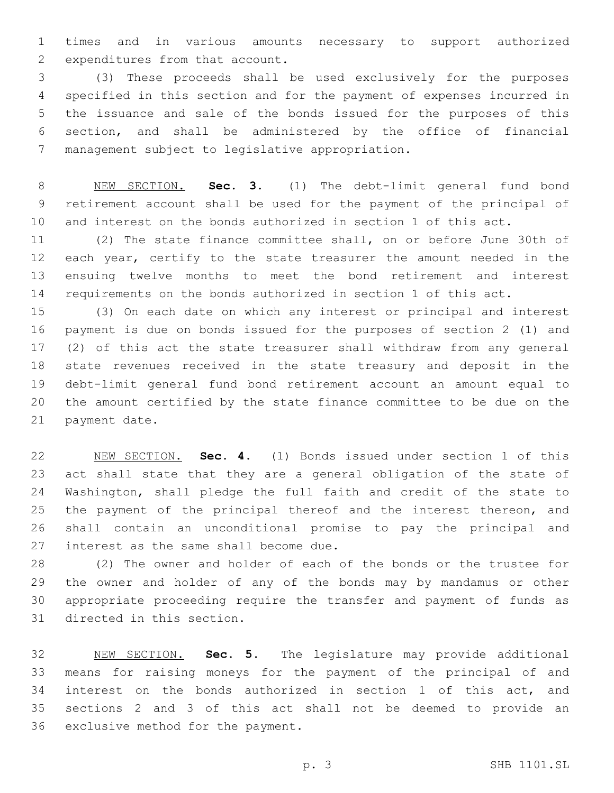times and in various amounts necessary to support authorized 2 expenditures from that account.

 (3) These proceeds shall be used exclusively for the purposes specified in this section and for the payment of expenses incurred in the issuance and sale of the bonds issued for the purposes of this section, and shall be administered by the office of financial 7 management subject to legislative appropriation.

 NEW SECTION. **Sec. 3.** (1) The debt-limit general fund bond retirement account shall be used for the payment of the principal of and interest on the bonds authorized in section 1 of this act.

 (2) The state finance committee shall, on or before June 30th of each year, certify to the state treasurer the amount needed in the ensuing twelve months to meet the bond retirement and interest requirements on the bonds authorized in section 1 of this act.

 (3) On each date on which any interest or principal and interest payment is due on bonds issued for the purposes of section 2 (1) and (2) of this act the state treasurer shall withdraw from any general state revenues received in the state treasury and deposit in the debt-limit general fund bond retirement account an amount equal to the amount certified by the state finance committee to be due on the 21 payment date.

 NEW SECTION. **Sec. 4.** (1) Bonds issued under section 1 of this act shall state that they are a general obligation of the state of Washington, shall pledge the full faith and credit of the state to the payment of the principal thereof and the interest thereon, and shall contain an unconditional promise to pay the principal and interest as the same shall become due.

 (2) The owner and holder of each of the bonds or the trustee for the owner and holder of any of the bonds may by mandamus or other appropriate proceeding require the transfer and payment of funds as 31 directed in this section.

 NEW SECTION. **Sec. 5.** The legislature may provide additional means for raising moneys for the payment of the principal of and interest on the bonds authorized in section 1 of this act, and sections 2 and 3 of this act shall not be deemed to provide an exclusive method for the payment.